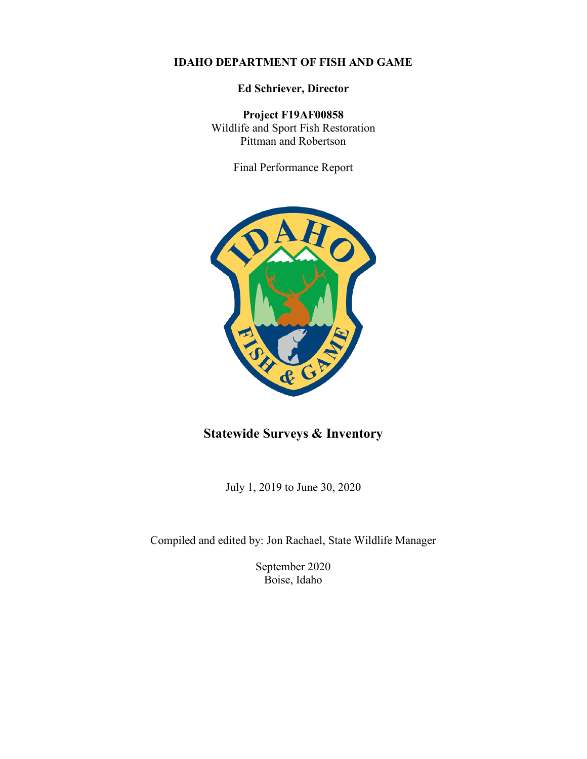#### **IDAHO DEPARTMENT OF FISH AND GAME**

**Ed Schriever, Director**

**Project F19AF00858** Wildlife and Sport Fish Restoration Pittman and Robertson

Final Performance Report



# **Statewide Surveys & Inventory**

July 1, 2019 to June 30, 2020

Compiled and edited by: Jon Rachael, State Wildlife Manager

September 2020 Boise, Idaho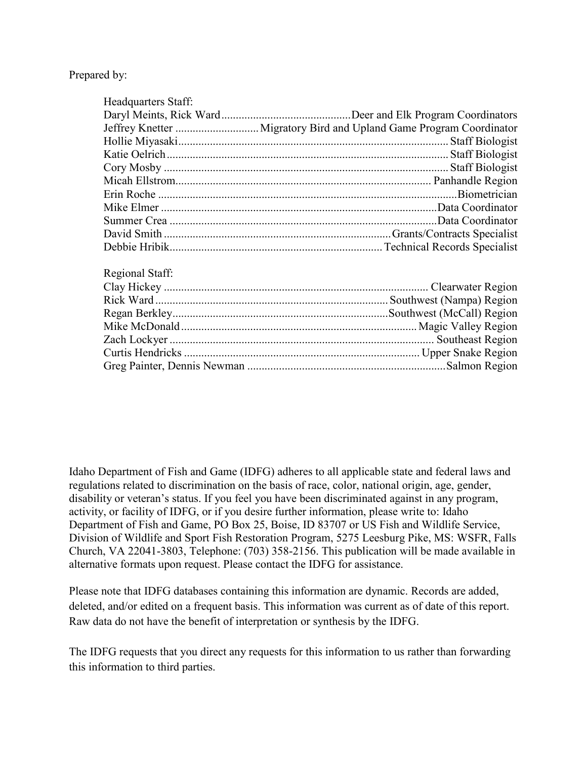Prepared by:

| Headquarters Staff: |  |
|---------------------|--|
|                     |  |
|                     |  |
|                     |  |
|                     |  |
|                     |  |
|                     |  |
|                     |  |
|                     |  |
|                     |  |
|                     |  |
|                     |  |
|                     |  |
| Regional Staff:     |  |
|                     |  |
|                     |  |
|                     |  |
|                     |  |
|                     |  |
|                     |  |
|                     |  |
|                     |  |

Idaho Department of Fish and Game (IDFG) adheres to all applicable state and federal laws and regulations related to discrimination on the basis of race, color, national origin, age, gender, disability or veteran's status. If you feel you have been discriminated against in any program, activity, or facility of IDFG, or if you desire further information, please write to: Idaho Department of Fish and Game, PO Box 25, Boise, ID 83707 or US Fish and Wildlife Service, Division of Wildlife and Sport Fish Restoration Program, 5275 Leesburg Pike, MS: WSFR, Falls Church, VA 22041-3803, Telephone: (703) 358-2156. This publication will be made available in alternative formats upon request. Please contact the IDFG for assistance.

Please note that IDFG databases containing this information are dynamic. Records are added, deleted, and/or edited on a frequent basis. This information was current as of date of this report. Raw data do not have the benefit of interpretation or synthesis by the IDFG.

The IDFG requests that you direct any requests for this information to us rather than forwarding this information to third parties.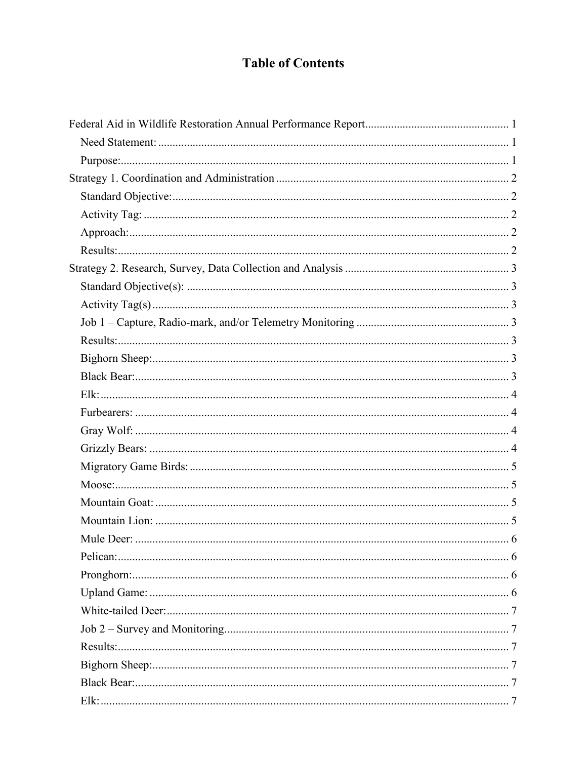# **Table of Contents**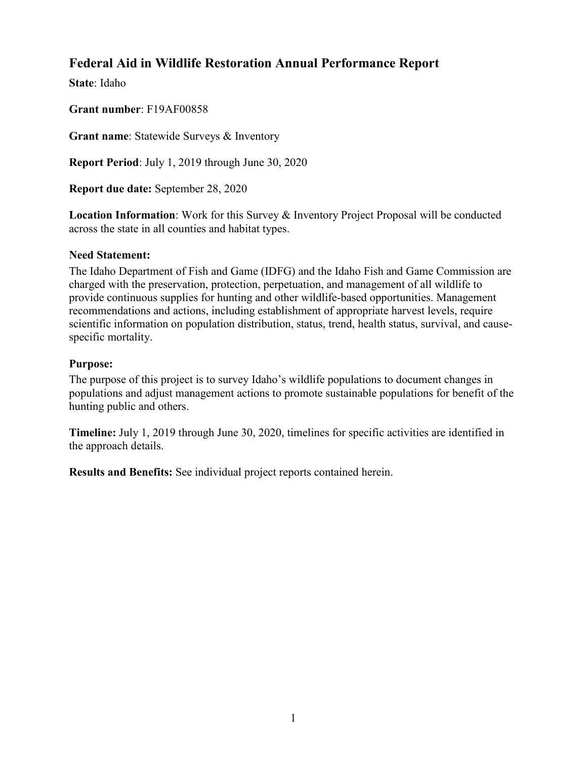# <span id="page-5-0"></span>**Federal Aid in Wildlife Restoration Annual Performance Report**

**State**: Idaho

**Grant number**: F19AF00858

**Grant name**: Statewide Surveys & Inventory

**Report Period**: July 1, 2019 through June 30, 2020

**Report due date:** September 28, 2020

**Location Information**: Work for this Survey & Inventory Project Proposal will be conducted across the state in all counties and habitat types.

#### <span id="page-5-1"></span>**Need Statement:**

The Idaho Department of Fish and Game (IDFG) and the Idaho Fish and Game Commission are charged with the preservation, protection, perpetuation, and management of all wildlife to provide continuous supplies for hunting and other wildlife-based opportunities. Management recommendations and actions, including establishment of appropriate harvest levels, require scientific information on population distribution, status, trend, health status, survival, and causespecific mortality.

#### <span id="page-5-2"></span>**Purpose:**

The purpose of this project is to survey Idaho's wildlife populations to document changes in populations and adjust management actions to promote sustainable populations for benefit of the hunting public and others.

**Timeline:** July 1, 2019 through June 30, 2020, timelines for specific activities are identified in the approach details.

**Results and Benefits:** See individual project reports contained herein.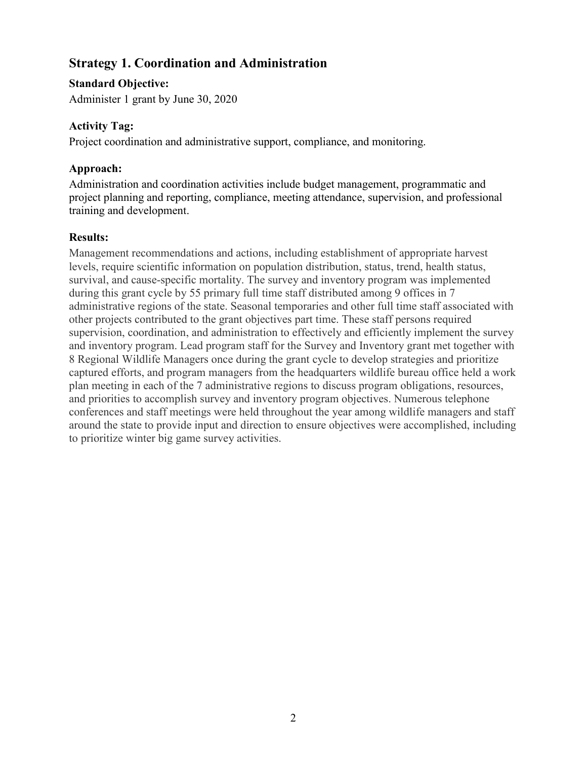# <span id="page-6-0"></span>**Strategy 1. Coordination and Administration**

# <span id="page-6-1"></span>**Standard Objective:**

Administer 1 grant by June 30, 2020

# <span id="page-6-2"></span>**Activity Tag:**

Project coordination and administrative support, compliance, and monitoring.

# <span id="page-6-3"></span>**Approach:**

Administration and coordination activities include budget management, programmatic and project planning and reporting, compliance, meeting attendance, supervision, and professional training and development.

# <span id="page-6-4"></span>**Results:**

Management recommendations and actions, including establishment of appropriate harvest levels, require scientific information on population distribution, status, trend, health status, survival, and cause-specific mortality. The survey and inventory program was implemented during this grant cycle by 55 primary full time staff distributed among 9 offices in 7 administrative regions of the state. Seasonal temporaries and other full time staff associated with other projects contributed to the grant objectives part time. These staff persons required supervision, coordination, and administration to effectively and efficiently implement the survey and inventory program. Lead program staff for the Survey and Inventory grant met together with 8 Regional Wildlife Managers once during the grant cycle to develop strategies and prioritize captured efforts, and program managers from the headquarters wildlife bureau office held a work plan meeting in each of the 7 administrative regions to discuss program obligations, resources, and priorities to accomplish survey and inventory program objectives. Numerous telephone conferences and staff meetings were held throughout the year among wildlife managers and staff around the state to provide input and direction to ensure objectives were accomplished, including to prioritize winter big game survey activities.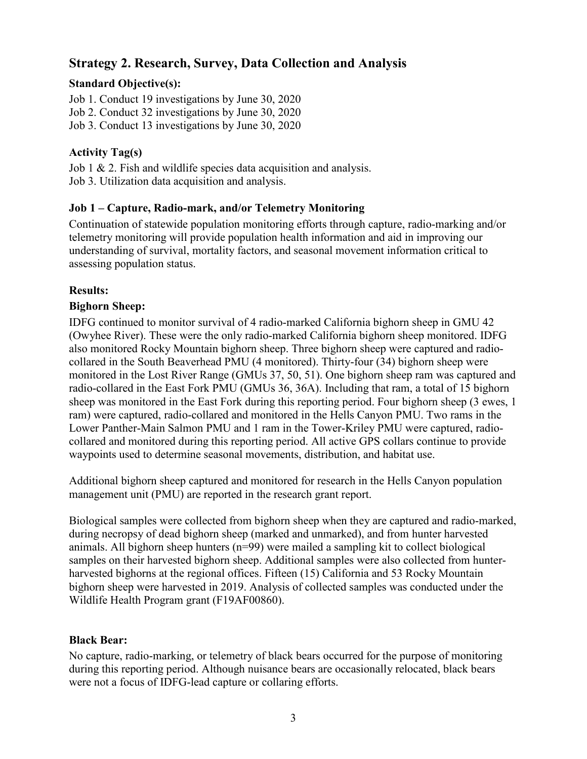# <span id="page-7-0"></span>**Strategy 2. Research, Survey, Data Collection and Analysis**

# <span id="page-7-1"></span>**Standard Objective(s):**

Job 1. Conduct 19 investigations by June 30, 2020 Job 2. Conduct 32 investigations by June 30, 2020 Job 3. Conduct 13 investigations by June 30, 2020

# <span id="page-7-2"></span>**Activity Tag(s)**

Job 1 & 2. Fish and wildlife species data acquisition and analysis. Job 3. Utilization data acquisition and analysis.

# <span id="page-7-3"></span>**Job 1 – Capture, Radio-mark, and/or Telemetry Monitoring**

Continuation of statewide population monitoring efforts through capture, radio-marking and/or telemetry monitoring will provide population health information and aid in improving our understanding of survival, mortality factors, and seasonal movement information critical to assessing population status.

# <span id="page-7-4"></span>**Results:**

# <span id="page-7-5"></span>**Bighorn Sheep:**

IDFG continued to monitor survival of 4 radio-marked California bighorn sheep in GMU 42 (Owyhee River). These were the only radio-marked California bighorn sheep monitored. IDFG also monitored Rocky Mountain bighorn sheep. Three bighorn sheep were captured and radiocollared in the South Beaverhead PMU (4 monitored). Thirty-four (34) bighorn sheep were monitored in the Lost River Range (GMUs 37, 50, 51). One bighorn sheep ram was captured and radio-collared in the East Fork PMU (GMUs 36, 36A). Including that ram, a total of 15 bighorn sheep was monitored in the East Fork during this reporting period. Four bighorn sheep (3 ewes, 1 ram) were captured, radio-collared and monitored in the Hells Canyon PMU. Two rams in the Lower Panther-Main Salmon PMU and 1 ram in the Tower-Kriley PMU were captured, radiocollared and monitored during this reporting period. All active GPS collars continue to provide waypoints used to determine seasonal movements, distribution, and habitat use.

Additional bighorn sheep captured and monitored for research in the Hells Canyon population management unit (PMU) are reported in the research grant report.

Biological samples were collected from bighorn sheep when they are captured and radio-marked, during necropsy of dead bighorn sheep (marked and unmarked), and from hunter harvested animals. All bighorn sheep hunters (n=99) were mailed a sampling kit to collect biological samples on their harvested bighorn sheep. Additional samples were also collected from hunterharvested bighorns at the regional offices. Fifteen (15) California and 53 Rocky Mountain bighorn sheep were harvested in 2019. Analysis of collected samples was conducted under the Wildlife Health Program grant (F19AF00860).

#### <span id="page-7-6"></span>**Black Bear:**

No capture, radio-marking, or telemetry of black bears occurred for the purpose of monitoring during this reporting period. Although nuisance bears are occasionally relocated, black bears were not a focus of IDFG-lead capture or collaring efforts.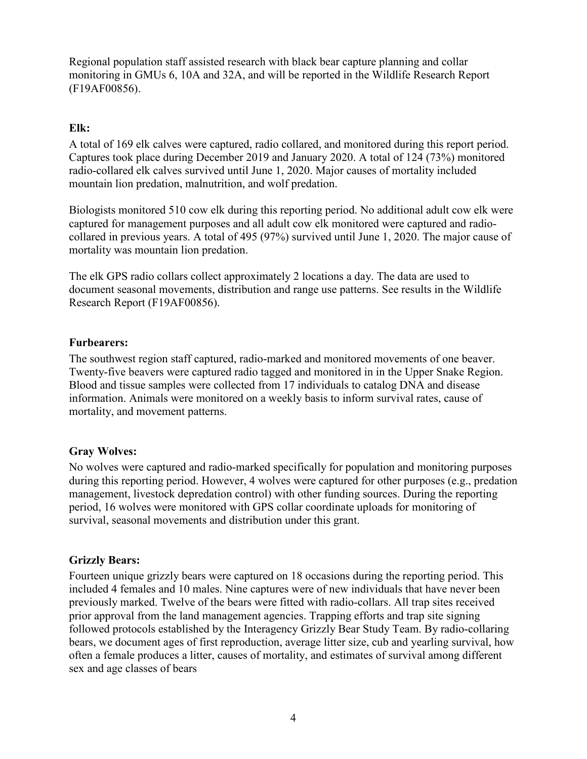Regional population staff assisted research with black bear capture planning and collar monitoring in GMUs 6, 10A and 32A, and will be reported in the Wildlife Research Report (F19AF00856).

#### <span id="page-8-0"></span>**Elk:**

A total of 169 elk calves were captured, radio collared, and monitored during this report period. Captures took place during December 2019 and January 2020. A total of 124 (73%) monitored radio-collared elk calves survived until June 1, 2020. Major causes of mortality included mountain lion predation, malnutrition, and wolf predation.

Biologists monitored 510 cow elk during this reporting period. No additional adult cow elk were captured for management purposes and all adult cow elk monitored were captured and radiocollared in previous years. A total of 495 (97%) survived until June 1, 2020. The major cause of mortality was mountain lion predation.

The elk GPS radio collars collect approximately 2 locations a day. The data are used to document seasonal movements, distribution and range use patterns. See results in the Wildlife Research Report (F19AF00856).

#### <span id="page-8-1"></span>**Furbearers:**

The southwest region staff captured, radio-marked and monitored movements of one beaver. Twenty-five beavers were captured radio tagged and monitored in in the Upper Snake Region. Blood and tissue samples were collected from 17 individuals to catalog DNA and disease information. Animals were monitored on a weekly basis to inform survival rates, cause of mortality, and movement patterns.

#### <span id="page-8-2"></span>**Gray Wolves:**

No wolves were captured and radio-marked specifically for population and monitoring purposes during this reporting period. However, 4 wolves were captured for other purposes (e.g., predation management, livestock depredation control) with other funding sources. During the reporting period, 16 wolves were monitored with GPS collar coordinate uploads for monitoring of survival, seasonal movements and distribution under this grant.

#### <span id="page-8-3"></span>**Grizzly Bears:**

Fourteen unique grizzly bears were captured on 18 occasions during the reporting period. This included 4 females and 10 males. Nine captures were of new individuals that have never been previously marked. Twelve of the bears were fitted with radio-collars. All trap sites received prior approval from the land management agencies. Trapping efforts and trap site signing followed protocols established by the Interagency Grizzly Bear Study Team. By radio-collaring bears, we document ages of first reproduction, average litter size, cub and yearling survival, how often a female produces a litter, causes of mortality, and estimates of survival among different sex and age classes of bears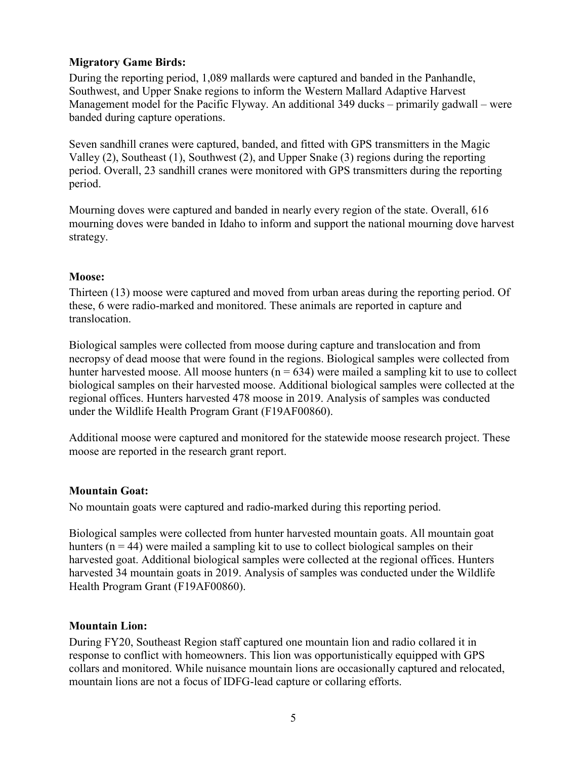#### <span id="page-9-0"></span>**Migratory Game Birds:**

During the reporting period, 1,089 mallards were captured and banded in the Panhandle, Southwest, and Upper Snake regions to inform the Western Mallard Adaptive Harvest Management model for the Pacific Flyway. An additional 349 ducks – primarily gadwall – were banded during capture operations.

Seven sandhill cranes were captured, banded, and fitted with GPS transmitters in the Magic Valley (2), Southeast (1), Southwest (2), and Upper Snake (3) regions during the reporting period. Overall, 23 sandhill cranes were monitored with GPS transmitters during the reporting period.

Mourning doves were captured and banded in nearly every region of the state. Overall, 616 mourning doves were banded in Idaho to inform and support the national mourning dove harvest strategy.

#### <span id="page-9-1"></span>**Moose:**

Thirteen (13) moose were captured and moved from urban areas during the reporting period. Of these, 6 were radio-marked and monitored. These animals are reported in capture and translocation.

Biological samples were collected from moose during capture and translocation and from necropsy of dead moose that were found in the regions. Biological samples were collected from hunter harvested moose. All moose hunters ( $n = 634$ ) were mailed a sampling kit to use to collect biological samples on their harvested moose. Additional biological samples were collected at the regional offices. Hunters harvested 478 moose in 2019. Analysis of samples was conducted under the Wildlife Health Program Grant (F19AF00860).

Additional moose were captured and monitored for the statewide moose research project. These moose are reported in the research grant report.

#### <span id="page-9-2"></span>**Mountain Goat:**

No mountain goats were captured and radio-marked during this reporting period.

Biological samples were collected from hunter harvested mountain goats. All mountain goat hunters ( $n = 44$ ) were mailed a sampling kit to use to collect biological samples on their harvested goat. Additional biological samples were collected at the regional offices. Hunters harvested 34 mountain goats in 2019. Analysis of samples was conducted under the Wildlife Health Program Grant (F19AF00860).

#### <span id="page-9-3"></span>**Mountain Lion:**

During FY20, Southeast Region staff captured one mountain lion and radio collared it in response to conflict with homeowners. This lion was opportunistically equipped with GPS collars and monitored. While nuisance mountain lions are occasionally captured and relocated, mountain lions are not a focus of IDFG-lead capture or collaring efforts.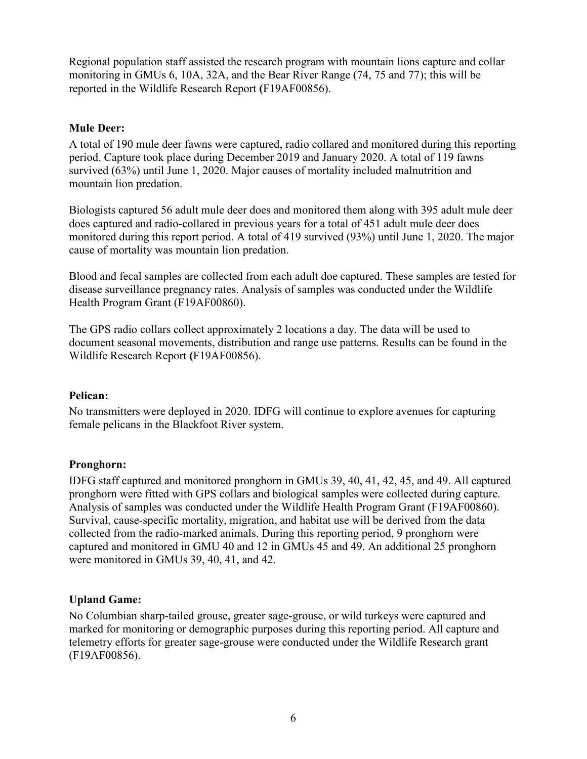Regional population staff assisted the research program with mountain lions capture and collar monitoring in GMUs 6, 10A, 32A, and the Bear River Range (74, 75 and 77); this will be reported in the Wildlife Research Report **(**F19AF00856).

#### <span id="page-10-0"></span>**Mule Deer:**

A total of 190 mule deer fawns were captured, radio collared and monitored during this reporting period. Capture took place during December 2019 and January 2020. A total of 119 fawns survived (63%) until June 1, 2020. Major causes of mortality included malnutrition and mountain lion predation.

Biologists captured 56 adult mule deer does and monitored them along with 395 adult mule deer does captured and radio-collared in previous years for a total of 451 adult mule deer does monitored during this report period. A total of 419 survived (93%) until June 1, 2020. The major cause of mortality was mountain lion predation.

Blood and fecal samples are collected from each adult doe captured. These samples are tested for disease surveillance pregnancy rates. Analysis of samples was conducted under the Wildlife Health Program Grant (F19AF00860).

The GPS radio collars collect approximately 2 locations a day. The data will be used to document seasonal movements, distribution and range use patterns. Results can be found in the Wildlife Research Report **(**F19AF00856).

#### <span id="page-10-1"></span>**Pelican:**

No transmitters were deployed in 2020. IDFG will continue to explore avenues for capturing female pelicans in the Blackfoot River system.

#### <span id="page-10-2"></span>**Pronghorn:**

IDFG staff captured and monitored pronghorn in GMUs 39, 40, 41, 42, 45, and 49. All captured pronghorn were fitted with GPS collars and biological samples were collected during capture. Analysis of samples was conducted under the Wildlife Health Program Grant (F19AF00860). Survival, cause-specific mortality, migration, and habitat use will be derived from the data collected from the radio-marked animals. During this reporting period, 9 pronghorn were captured and monitored in GMU 40 and 12 in GMUs 45 and 49. An additional 25 pronghorn were monitored in GMUs 39, 40, 41, and 42.

#### <span id="page-10-3"></span>**Upland Game:**

No Columbian sharp-tailed grouse, greater sage-grouse, or wild turkeys were captured and marked for monitoring or demographic purposes during this reporting period. All capture and telemetry efforts for greater sage-grouse were conducted under the Wildlife Research grant (F19AF00856).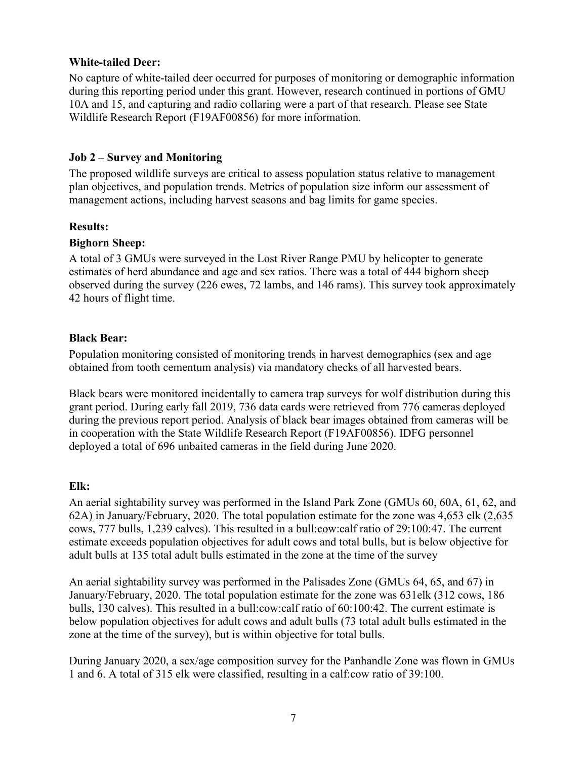#### <span id="page-11-0"></span>**White-tailed Deer:**

No capture of white-tailed deer occurred for purposes of monitoring or demographic information during this reporting period under this grant. However, research continued in portions of GMU 10A and 15, and capturing and radio collaring were a part of that research. Please see State Wildlife Research Report (F19AF00856) for more information.

#### <span id="page-11-1"></span>**Job 2 – Survey and Monitoring**

The proposed wildlife surveys are critical to assess population status relative to management plan objectives, and population trends. Metrics of population size inform our assessment of management actions, including harvest seasons and bag limits for game species.

#### <span id="page-11-2"></span>**Results:**

#### <span id="page-11-3"></span>**Bighorn Sheep:**

A total of 3 GMUs were surveyed in the Lost River Range PMU by helicopter to generate estimates of herd abundance and age and sex ratios. There was a total of 444 bighorn sheep observed during the survey (226 ewes, 72 lambs, and 146 rams). This survey took approximately 42 hours of flight time.

#### <span id="page-11-4"></span>**Black Bear:**

Population monitoring consisted of monitoring trends in harvest demographics (sex and age obtained from tooth cementum analysis) via mandatory checks of all harvested bears.

Black bears were monitored incidentally to camera trap surveys for wolf distribution during this grant period. During early fall 2019, 736 data cards were retrieved from 776 cameras deployed during the previous report period. Analysis of black bear images obtained from cameras will be in cooperation with the State Wildlife Research Report (F19AF00856). IDFG personnel deployed a total of 696 unbaited cameras in the field during June 2020.

#### <span id="page-11-5"></span>**Elk:**

An aerial sightability survey was performed in the Island Park Zone (GMUs 60, 60A, 61, 62, and 62A) in January/February, 2020. The total population estimate for the zone was 4,653 elk (2,635 cows, 777 bulls, 1,239 calves). This resulted in a bull:cow:calf ratio of 29:100:47. The current estimate exceeds population objectives for adult cows and total bulls, but is below objective for adult bulls at 135 total adult bulls estimated in the zone at the time of the survey

An aerial sightability survey was performed in the Palisades Zone (GMUs 64, 65, and 67) in January/February, 2020. The total population estimate for the zone was 631elk (312 cows, 186 bulls, 130 calves). This resulted in a bull:cow:calf ratio of 60:100:42. The current estimate is below population objectives for adult cows and adult bulls (73 total adult bulls estimated in the zone at the time of the survey), but is within objective for total bulls.

During January 2020, a sex/age composition survey for the Panhandle Zone was flown in GMUs 1 and 6. A total of 315 elk were classified, resulting in a calf:cow ratio of 39:100.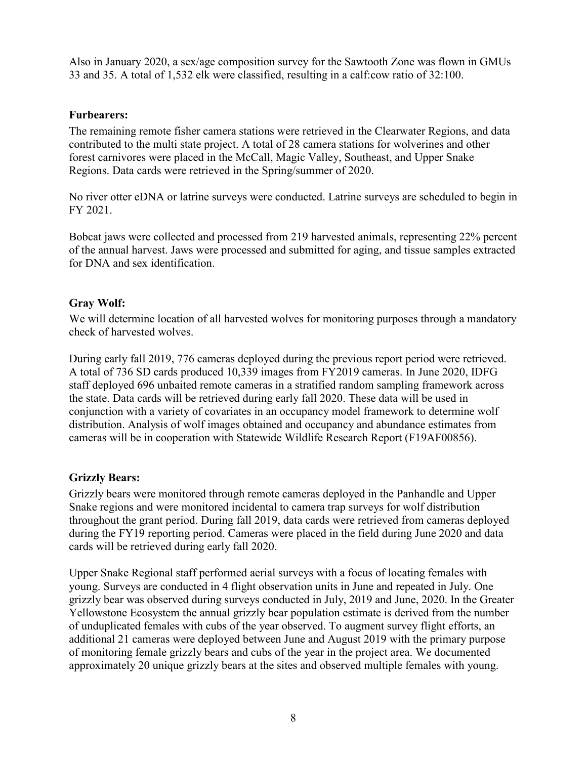Also in January 2020, a sex/age composition survey for the Sawtooth Zone was flown in GMUs 33 and 35. A total of 1,532 elk were classified, resulting in a calf:cow ratio of 32:100.

#### <span id="page-12-0"></span>**Furbearers:**

The remaining remote fisher camera stations were retrieved in the Clearwater Regions, and data contributed to the multi state project. A total of 28 camera stations for wolverines and other forest carnivores were placed in the McCall, Magic Valley, Southeast, and Upper Snake Regions. Data cards were retrieved in the Spring/summer of 2020.

No river otter eDNA or latrine surveys were conducted. Latrine surveys are scheduled to begin in FY 2021.

Bobcat jaws were collected and processed from 219 harvested animals, representing 22% percent of the annual harvest. Jaws were processed and submitted for aging, and tissue samples extracted for DNA and sex identification.

#### <span id="page-12-1"></span>**Gray Wolf:**

We will determine location of all harvested wolves for monitoring purposes through a mandatory check of harvested wolves.

During early fall 2019, 776 cameras deployed during the previous report period were retrieved. A total of 736 SD cards produced 10,339 images from FY2019 cameras. In June 2020, IDFG staff deployed 696 unbaited remote cameras in a stratified random sampling framework across the state. Data cards will be retrieved during early fall 2020. These data will be used in conjunction with a variety of covariates in an occupancy model framework to determine wolf distribution. Analysis of wolf images obtained and occupancy and abundance estimates from cameras will be in cooperation with Statewide Wildlife Research Report (F19AF00856).

#### <span id="page-12-2"></span>**Grizzly Bears:**

Grizzly bears were monitored through remote cameras deployed in the Panhandle and Upper Snake regions and were monitored incidental to camera trap surveys for wolf distribution throughout the grant period. During fall 2019, data cards were retrieved from cameras deployed during the FY19 reporting period. Cameras were placed in the field during June 2020 and data cards will be retrieved during early fall 2020.

Upper Snake Regional staff performed aerial surveys with a focus of locating females with young. Surveys are conducted in 4 flight observation units in June and repeated in July. One grizzly bear was observed during surveys conducted in July, 2019 and June, 2020. In the Greater Yellowstone Ecosystem the annual grizzly bear population estimate is derived from the number of unduplicated females with cubs of the year observed. To augment survey flight efforts, an additional 21 cameras were deployed between June and August 2019 with the primary purpose of monitoring female grizzly bears and cubs of the year in the project area. We documented approximately 20 unique grizzly bears at the sites and observed multiple females with young.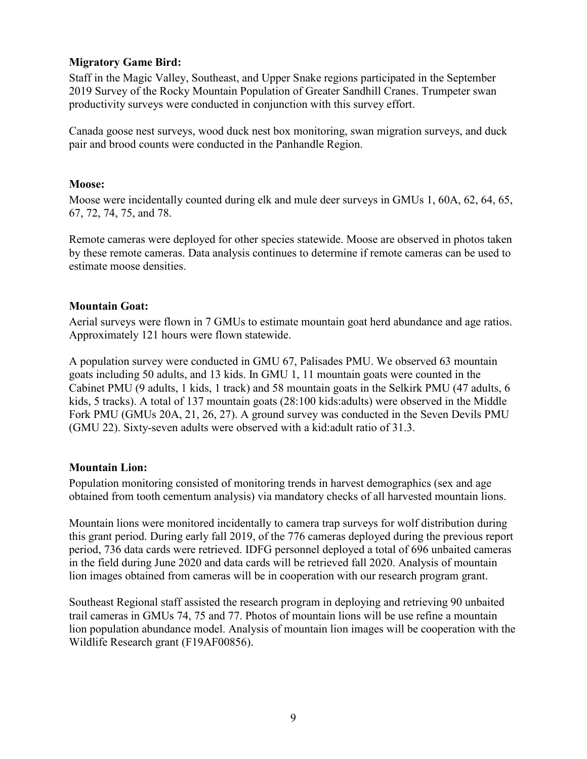#### <span id="page-13-0"></span>**Migratory Game Bird:**

Staff in the Magic Valley, Southeast, and Upper Snake regions participated in the September 2019 Survey of the Rocky Mountain Population of Greater Sandhill Cranes. Trumpeter swan productivity surveys were conducted in conjunction with this survey effort.

Canada goose nest surveys, wood duck nest box monitoring, swan migration surveys, and duck pair and brood counts were conducted in the Panhandle Region.

#### <span id="page-13-1"></span>**Moose:**

Moose were incidentally counted during elk and mule deer surveys in GMUs 1, 60A, 62, 64, 65, 67, 72, 74, 75, and 78.

Remote cameras were deployed for other species statewide. Moose are observed in photos taken by these remote cameras. Data analysis continues to determine if remote cameras can be used to estimate moose densities.

#### <span id="page-13-2"></span>**Mountain Goat:**

Aerial surveys were flown in 7 GMUs to estimate mountain goat herd abundance and age ratios. Approximately 121 hours were flown statewide.

A population survey were conducted in GMU 67, Palisades PMU. We observed 63 mountain goats including 50 adults, and 13 kids. In GMU 1, 11 mountain goats were counted in the Cabinet PMU (9 adults, 1 kids, 1 track) and 58 mountain goats in the Selkirk PMU (47 adults, 6 kids, 5 tracks). A total of 137 mountain goats (28:100 kids:adults) were observed in the Middle Fork PMU (GMUs 20A, 21, 26, 27). A ground survey was conducted in the Seven Devils PMU (GMU 22). Sixty-seven adults were observed with a kid:adult ratio of 31.3.

#### <span id="page-13-3"></span>**Mountain Lion:**

Population monitoring consisted of monitoring trends in harvest demographics (sex and age obtained from tooth cementum analysis) via mandatory checks of all harvested mountain lions.

Mountain lions were monitored incidentally to camera trap surveys for wolf distribution during this grant period. During early fall 2019, of the 776 cameras deployed during the previous report period, 736 data cards were retrieved. IDFG personnel deployed a total of 696 unbaited cameras in the field during June 2020 and data cards will be retrieved fall 2020. Analysis of mountain lion images obtained from cameras will be in cooperation with our research program grant.

Southeast Regional staff assisted the research program in deploying and retrieving 90 unbaited trail cameras in GMUs 74, 75 and 77. Photos of mountain lions will be use refine a mountain lion population abundance model. Analysis of mountain lion images will be cooperation with the Wildlife Research grant (F19AF00856).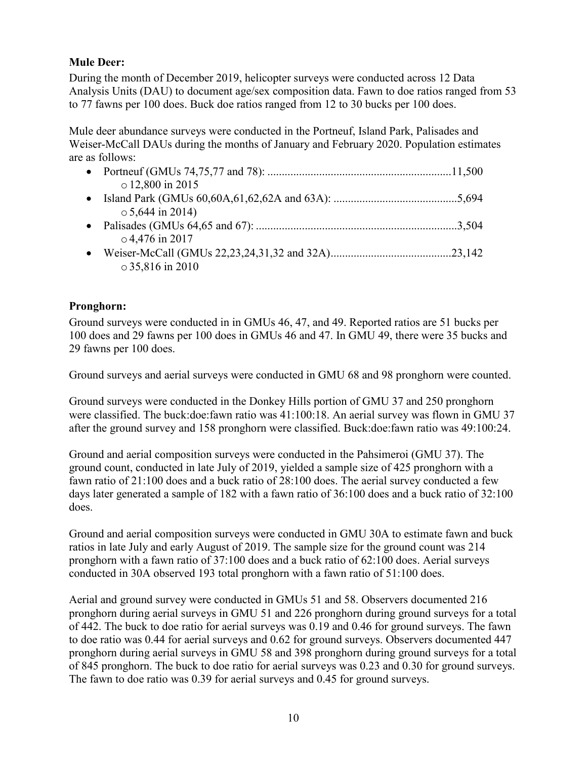# <span id="page-14-0"></span>**Mule Deer:**

During the month of December 2019, helicopter surveys were conducted across 12 Data Analysis Units (DAU) to document age/sex composition data. Fawn to doe ratios ranged from 53 to 77 fawns per 100 does. Buck doe ratios ranged from 12 to 30 bucks per 100 does.

Mule deer abundance surveys were conducted in the Portneuf, Island Park, Palisades and Weiser-McCall DAUs during the months of January and February 2020. Population estimates are as follows:

| $\circ$ 12,800 in 2015 |
|------------------------|
|                        |
| $\circ$ 5,644 in 2014) |
|                        |
| $\circ$ 4,476 in 2017  |
|                        |
| $\circ$ 35,816 in 2010 |

# <span id="page-14-1"></span>**Pronghorn:**

Ground surveys were conducted in in GMUs 46, 47, and 49. Reported ratios are 51 bucks per 100 does and 29 fawns per 100 does in GMUs 46 and 47. In GMU 49, there were 35 bucks and 29 fawns per 100 does.

Ground surveys and aerial surveys were conducted in GMU 68 and 98 pronghorn were counted.

Ground surveys were conducted in the Donkey Hills portion of GMU 37 and 250 pronghorn were classified. The buck:doe:fawn ratio was 41:100:18. An aerial survey was flown in GMU 37 after the ground survey and 158 pronghorn were classified. Buck:doe:fawn ratio was 49:100:24.

Ground and aerial composition surveys were conducted in the Pahsimeroi (GMU 37). The ground count, conducted in late July of 2019, yielded a sample size of 425 pronghorn with a fawn ratio of 21:100 does and a buck ratio of 28:100 does. The aerial survey conducted a few days later generated a sample of 182 with a fawn ratio of 36:100 does and a buck ratio of 32:100 does.

Ground and aerial composition surveys were conducted in GMU 30A to estimate fawn and buck ratios in late July and early August of 2019. The sample size for the ground count was 214 pronghorn with a fawn ratio of 37:100 does and a buck ratio of 62:100 does. Aerial surveys conducted in 30A observed 193 total pronghorn with a fawn ratio of 51:100 does.

Aerial and ground survey were conducted in GMUs 51 and 58. Observers documented 216 pronghorn during aerial surveys in GMU 51 and 226 pronghorn during ground surveys for a total of 442. The buck to doe ratio for aerial surveys was 0.19 and 0.46 for ground surveys. The fawn to doe ratio was 0.44 for aerial surveys and 0.62 for ground surveys. Observers documented 447 pronghorn during aerial surveys in GMU 58 and 398 pronghorn during ground surveys for a total of 845 pronghorn. The buck to doe ratio for aerial surveys was 0.23 and 0.30 for ground surveys. The fawn to doe ratio was 0.39 for aerial surveys and 0.45 for ground surveys.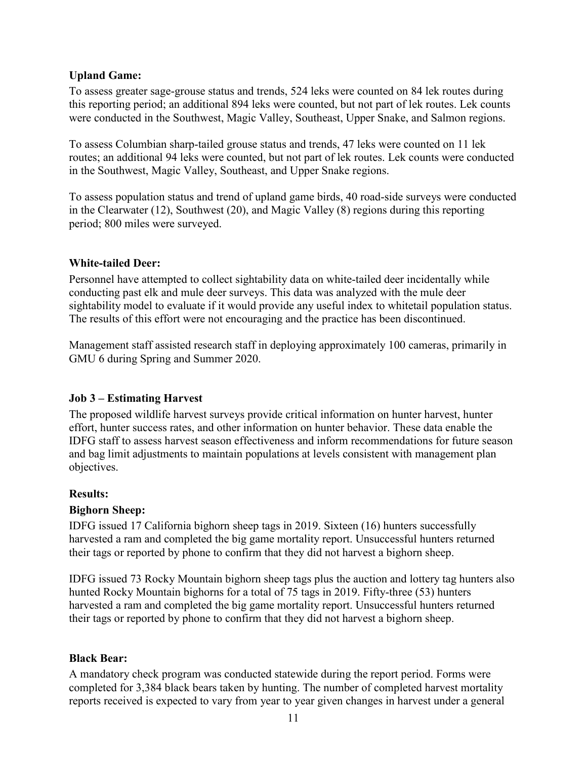#### <span id="page-15-0"></span>**Upland Game:**

To assess greater sage-grouse status and trends, 524 leks were counted on 84 lek routes during this reporting period; an additional 894 leks were counted, but not part of lek routes. Lek counts were conducted in the Southwest, Magic Valley, Southeast, Upper Snake, and Salmon regions.

To assess Columbian sharp-tailed grouse status and trends, 47 leks were counted on 11 lek routes; an additional 94 leks were counted, but not part of lek routes. Lek counts were conducted in the Southwest, Magic Valley, Southeast, and Upper Snake regions.

To assess population status and trend of upland game birds, 40 road-side surveys were conducted in the Clearwater (12), Southwest (20), and Magic Valley (8) regions during this reporting period; 800 miles were surveyed.

#### <span id="page-15-1"></span>**White-tailed Deer:**

Personnel have attempted to collect sightability data on white-tailed deer incidentally while conducting past elk and mule deer surveys. This data was analyzed with the mule deer sightability model to evaluate if it would provide any useful index to whitetail population status. The results of this effort were not encouraging and the practice has been discontinued.

Management staff assisted research staff in deploying approximately 100 cameras, primarily in GMU 6 during Spring and Summer 2020.

#### <span id="page-15-2"></span>**Job 3 – Estimating Harvest**

The proposed wildlife harvest surveys provide critical information on hunter harvest, hunter effort, hunter success rates, and other information on hunter behavior. These data enable the IDFG staff to assess harvest season effectiveness and inform recommendations for future season and bag limit adjustments to maintain populations at levels consistent with management plan objectives.

#### <span id="page-15-3"></span>**Results:**

#### <span id="page-15-4"></span>**Bighorn Sheep:**

IDFG issued 17 California bighorn sheep tags in 2019. Sixteen (16) hunters successfully harvested a ram and completed the big game mortality report. Unsuccessful hunters returned their tags or reported by phone to confirm that they did not harvest a bighorn sheep.

IDFG issued 73 Rocky Mountain bighorn sheep tags plus the auction and lottery tag hunters also hunted Rocky Mountain bighorns for a total of 75 tags in 2019. Fifty-three (53) hunters harvested a ram and completed the big game mortality report. Unsuccessful hunters returned their tags or reported by phone to confirm that they did not harvest a bighorn sheep.

#### <span id="page-15-5"></span>**Black Bear:**

A mandatory check program was conducted statewide during the report period. Forms were completed for 3,384 black bears taken by hunting. The number of completed harvest mortality reports received is expected to vary from year to year given changes in harvest under a general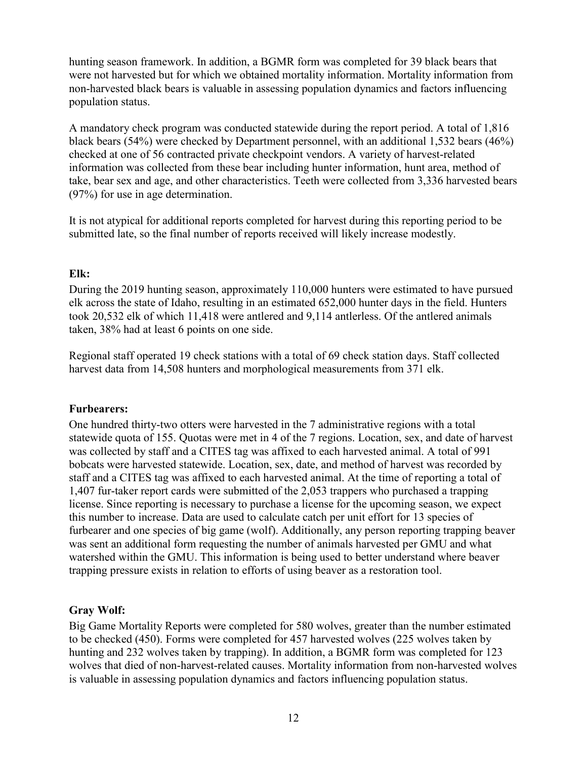hunting season framework. In addition, a BGMR form was completed for 39 black bears that were not harvested but for which we obtained mortality information. Mortality information from non-harvested black bears is valuable in assessing population dynamics and factors influencing population status.

A mandatory check program was conducted statewide during the report period. A total of 1,816 black bears (54%) were checked by Department personnel, with an additional 1,532 bears (46%) checked at one of 56 contracted private checkpoint vendors. A variety of harvest-related information was collected from these bear including hunter information, hunt area, method of take, bear sex and age, and other characteristics. Teeth were collected from 3,336 harvested bears (97%) for use in age determination.

It is not atypical for additional reports completed for harvest during this reporting period to be submitted late, so the final number of reports received will likely increase modestly.

#### <span id="page-16-0"></span>**Elk:**

During the 2019 hunting season, approximately 110,000 hunters were estimated to have pursued elk across the state of Idaho, resulting in an estimated 652,000 hunter days in the field. Hunters took 20,532 elk of which 11,418 were antlered and 9,114 antlerless. Of the antlered animals taken, 38% had at least 6 points on one side.

Regional staff operated 19 check stations with a total of 69 check station days. Staff collected harvest data from 14,508 hunters and morphological measurements from 371 elk.

#### <span id="page-16-1"></span>**Furbearers:**

One hundred thirty-two otters were harvested in the 7 administrative regions with a total statewide quota of 155. Quotas were met in 4 of the 7 regions. Location, sex, and date of harvest was collected by staff and a CITES tag was affixed to each harvested animal. A total of 991 bobcats were harvested statewide. Location, sex, date, and method of harvest was recorded by staff and a CITES tag was affixed to each harvested animal. At the time of reporting a total of 1,407 fur-taker report cards were submitted of the 2,053 trappers who purchased a trapping license. Since reporting is necessary to purchase a license for the upcoming season, we expect this number to increase. Data are used to calculate catch per unit effort for 13 species of furbearer and one species of big game (wolf). Additionally, any person reporting trapping beaver was sent an additional form requesting the number of animals harvested per GMU and what watershed within the GMU. This information is being used to better understand where beaver trapping pressure exists in relation to efforts of using beaver as a restoration tool.

# <span id="page-16-2"></span>**Gray Wolf:**

Big Game Mortality Reports were completed for 580 wolves, greater than the number estimated to be checked (450). Forms were completed for 457 harvested wolves (225 wolves taken by hunting and 232 wolves taken by trapping). In addition, a BGMR form was completed for 123 wolves that died of non-harvest-related causes. Mortality information from non-harvested wolves is valuable in assessing population dynamics and factors influencing population status.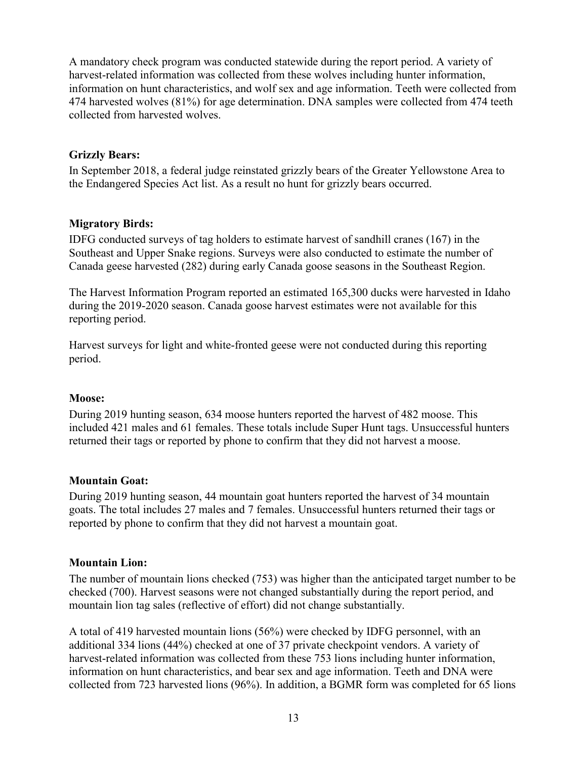A mandatory check program was conducted statewide during the report period. A variety of harvest-related information was collected from these wolves including hunter information, information on hunt characteristics, and wolf sex and age information. Teeth were collected from 474 harvested wolves (81%) for age determination. DNA samples were collected from 474 teeth collected from harvested wolves.

#### <span id="page-17-0"></span>**Grizzly Bears:**

In September 2018, a federal judge reinstated grizzly bears of the Greater Yellowstone Area to the Endangered Species Act list. As a result no hunt for grizzly bears occurred.

# <span id="page-17-1"></span>**Migratory Birds:**

IDFG conducted surveys of tag holders to estimate harvest of sandhill cranes (167) in the Southeast and Upper Snake regions. Surveys were also conducted to estimate the number of Canada geese harvested (282) during early Canada goose seasons in the Southeast Region.

The Harvest Information Program reported an estimated 165,300 ducks were harvested in Idaho during the 2019-2020 season. Canada goose harvest estimates were not available for this reporting period.

Harvest surveys for light and white-fronted geese were not conducted during this reporting period.

#### <span id="page-17-2"></span>**Moose:**

During 2019 hunting season, 634 moose hunters reported the harvest of 482 moose. This included 421 males and 61 females. These totals include Super Hunt tags. Unsuccessful hunters returned their tags or reported by phone to confirm that they did not harvest a moose.

# <span id="page-17-3"></span>**Mountain Goat:**

During 2019 hunting season, 44 mountain goat hunters reported the harvest of 34 mountain goats. The total includes 27 males and 7 females. Unsuccessful hunters returned their tags or reported by phone to confirm that they did not harvest a mountain goat.

#### <span id="page-17-4"></span>**Mountain Lion:**

The number of mountain lions checked (753) was higher than the anticipated target number to be checked (700). Harvest seasons were not changed substantially during the report period, and mountain lion tag sales (reflective of effort) did not change substantially.

A total of 419 harvested mountain lions (56%) were checked by IDFG personnel, with an additional 334 lions (44%) checked at one of 37 private checkpoint vendors. A variety of harvest-related information was collected from these 753 lions including hunter information, information on hunt characteristics, and bear sex and age information. Teeth and DNA were collected from 723 harvested lions (96%). In addition, a BGMR form was completed for 65 lions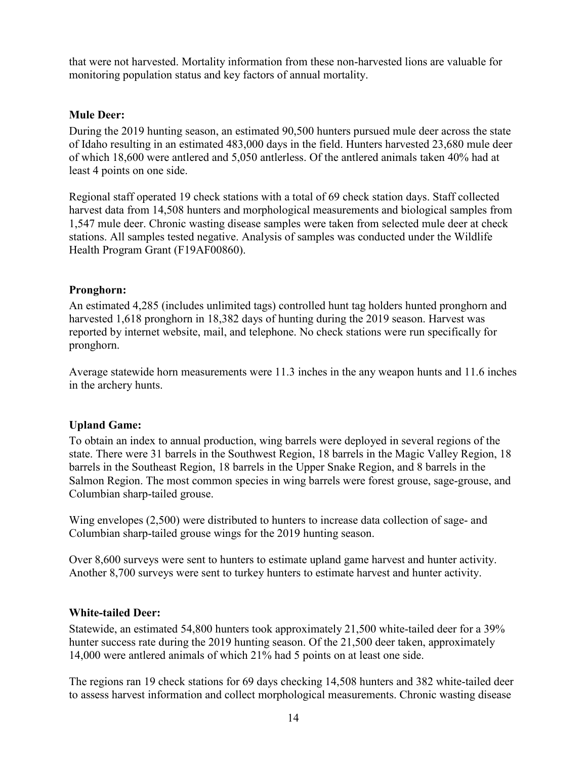that were not harvested. Mortality information from these non-harvested lions are valuable for monitoring population status and key factors of annual mortality.

#### <span id="page-18-0"></span>**Mule Deer:**

During the 2019 hunting season, an estimated 90,500 hunters pursued mule deer across the state of Idaho resulting in an estimated 483,000 days in the field. Hunters harvested 23,680 mule deer of which 18,600 were antlered and 5,050 antlerless. Of the antlered animals taken 40% had at least 4 points on one side.

Regional staff operated 19 check stations with a total of 69 check station days. Staff collected harvest data from 14,508 hunters and morphological measurements and biological samples from 1,547 mule deer. Chronic wasting disease samples were taken from selected mule deer at check stations. All samples tested negative. Analysis of samples was conducted under the Wildlife Health Program Grant (F19AF00860).

#### <span id="page-18-1"></span>**Pronghorn:**

An estimated 4,285 (includes unlimited tags) controlled hunt tag holders hunted pronghorn and harvested 1,618 pronghorn in 18,382 days of hunting during the 2019 season. Harvest was reported by internet website, mail, and telephone. No check stations were run specifically for pronghorn.

Average statewide horn measurements were 11.3 inches in the any weapon hunts and 11.6 inches in the archery hunts.

#### <span id="page-18-2"></span>**Upland Game:**

To obtain an index to annual production, wing barrels were deployed in several regions of the state. There were 31 barrels in the Southwest Region, 18 barrels in the Magic Valley Region, 18 barrels in the Southeast Region, 18 barrels in the Upper Snake Region, and 8 barrels in the Salmon Region. The most common species in wing barrels were forest grouse, sage-grouse, and Columbian sharp-tailed grouse.

Wing envelopes (2,500) were distributed to hunters to increase data collection of sage- and Columbian sharp-tailed grouse wings for the 2019 hunting season.

Over 8,600 surveys were sent to hunters to estimate upland game harvest and hunter activity. Another 8,700 surveys were sent to turkey hunters to estimate harvest and hunter activity.

#### <span id="page-18-3"></span>**White-tailed Deer:**

Statewide, an estimated 54,800 hunters took approximately 21,500 white-tailed deer for a 39% hunter success rate during the 2019 hunting season. Of the 21,500 deer taken, approximately 14,000 were antlered animals of which 21% had 5 points on at least one side.

The regions ran 19 check stations for 69 days checking 14,508 hunters and 382 white-tailed deer to assess harvest information and collect morphological measurements. Chronic wasting disease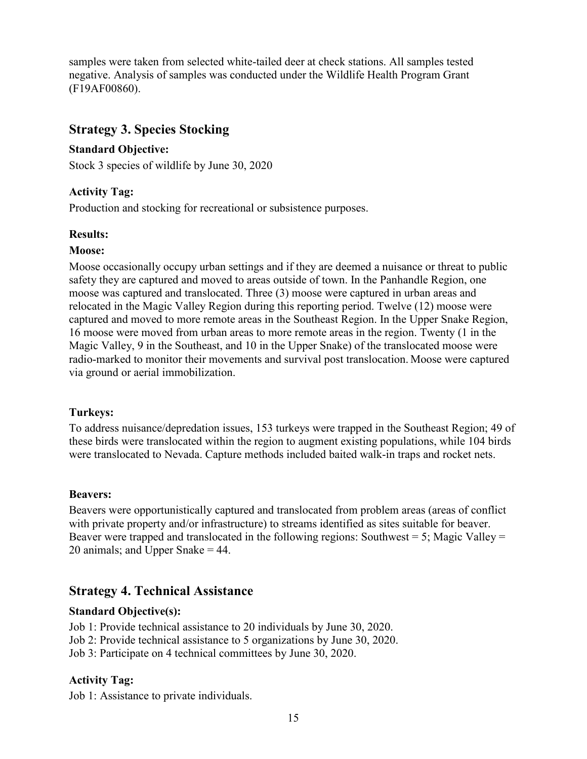samples were taken from selected white-tailed deer at check stations. All samples tested negative. Analysis of samples was conducted under the Wildlife Health Program Grant (F19AF00860).

# <span id="page-19-0"></span>**Strategy 3. Species Stocking**

#### <span id="page-19-1"></span>**Standard Objective:**

Stock 3 species of wildlife by June 30, 2020

#### <span id="page-19-2"></span>**Activity Tag:**

Production and stocking for recreational or subsistence purposes.

#### <span id="page-19-3"></span>**Results:**

#### <span id="page-19-4"></span>**Moose:**

Moose occasionally occupy urban settings and if they are deemed a nuisance or threat to public safety they are captured and moved to areas outside of town. In the Panhandle Region, one moose was captured and translocated. Three (3) moose were captured in urban areas and relocated in the Magic Valley Region during this reporting period. Twelve (12) moose were captured and moved to more remote areas in the Southeast Region. In the Upper Snake Region, 16 moose were moved from urban areas to more remote areas in the region. Twenty (1 in the Magic Valley, 9 in the Southeast, and 10 in the Upper Snake) of the translocated moose were radio-marked to monitor their movements and survival post translocation. Moose were captured via ground or aerial immobilization.

#### <span id="page-19-5"></span>**Turkeys:**

To address nuisance/depredation issues, 153 turkeys were trapped in the Southeast Region; 49 of these birds were translocated within the region to augment existing populations, while 104 birds were translocated to Nevada. Capture methods included baited walk-in traps and rocket nets.

#### <span id="page-19-6"></span>**Beavers:**

Beavers were opportunistically captured and translocated from problem areas (areas of conflict with private property and/or infrastructure) to streams identified as sites suitable for beaver. Beaver were trapped and translocated in the following regions: Southwest = 5; Magic Valley = 20 animals; and Upper Snake = 44.

# <span id="page-19-7"></span>**Strategy 4. Technical Assistance**

#### <span id="page-19-8"></span>**Standard Objective(s):**

Job 1: Provide technical assistance to 20 individuals by June 30, 2020.

Job 2: Provide technical assistance to 5 organizations by June 30, 2020.

Job 3: Participate on 4 technical committees by June 30, 2020.

#### <span id="page-19-9"></span>**Activity Tag:**

Job 1: Assistance to private individuals.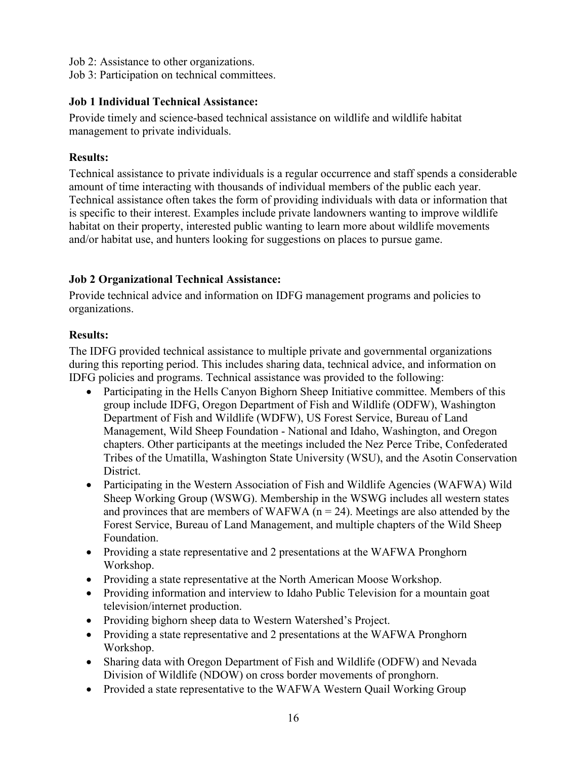- Job 2: Assistance to other organizations.
- Job 3: Participation on technical committees.

### <span id="page-20-0"></span>**Job 1 Individual Technical Assistance:**

Provide timely and science-based technical assistance on wildlife and wildlife habitat management to private individuals.

# <span id="page-20-1"></span>**Results:**

Technical assistance to private individuals is a regular occurrence and staff spends a considerable amount of time interacting with thousands of individual members of the public each year. Technical assistance often takes the form of providing individuals with data or information that is specific to their interest. Examples include private landowners wanting to improve wildlife habitat on their property, interested public wanting to learn more about wildlife movements and/or habitat use, and hunters looking for suggestions on places to pursue game.

# <span id="page-20-2"></span>**Job 2 Organizational Technical Assistance:**

Provide technical advice and information on IDFG management programs and policies to organizations.

# <span id="page-20-3"></span>**Results:**

The IDFG provided technical assistance to multiple private and governmental organizations during this reporting period. This includes sharing data, technical advice, and information on IDFG policies and programs. Technical assistance was provided to the following:

- Participating in the Hells Canyon Bighorn Sheep Initiative committee. Members of this group include IDFG, Oregon Department of Fish and Wildlife (ODFW), Washington Department of Fish and Wildlife (WDFW), US Forest Service, Bureau of Land Management, Wild Sheep Foundation - National and Idaho, Washington, and Oregon chapters. Other participants at the meetings included the Nez Perce Tribe, Confederated Tribes of the Umatilla, Washington State University (WSU), and the Asotin Conservation District.
- Participating in the Western Association of Fish and Wildlife Agencies (WAFWA) Wild Sheep Working Group (WSWG). Membership in the WSWG includes all western states and provinces that are members of WAFWA ( $n = 24$ ). Meetings are also attended by the Forest Service, Bureau of Land Management, and multiple chapters of the Wild Sheep Foundation.
- Providing a state representative and 2 presentations at the WAFWA Pronghorn Workshop.
- Providing a state representative at the North American Moose Workshop.
- Providing information and interview to Idaho Public Television for a mountain goat television/internet production.
- Providing bighorn sheep data to Western Watershed's Project.
- Providing a state representative and 2 presentations at the WAFWA Pronghorn Workshop.
- Sharing data with Oregon Department of Fish and Wildlife (ODFW) and Nevada Division of Wildlife (NDOW) on cross border movements of pronghorn.
- Provided a state representative to the WAFWA Western Quail Working Group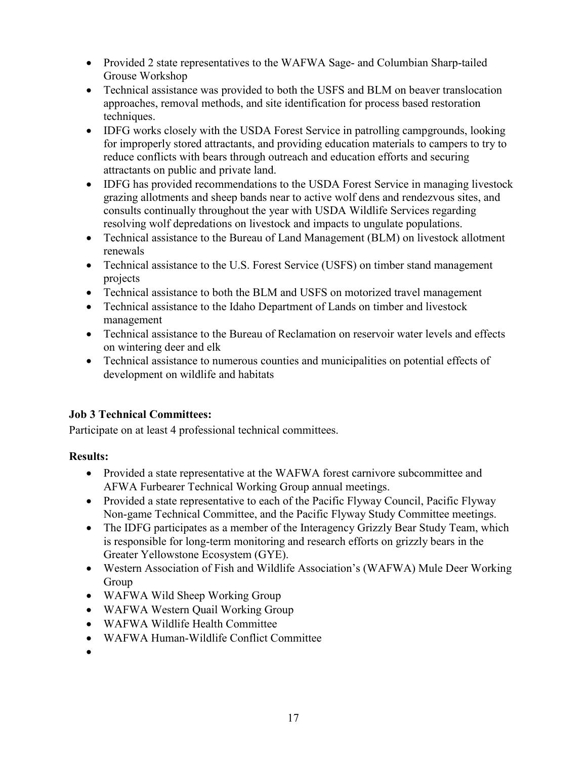- Provided 2 state representatives to the WAFWA Sage- and Columbian Sharp-tailed Grouse Workshop
- Technical assistance was provided to both the USFS and BLM on beaver translocation approaches, removal methods, and site identification for process based restoration techniques.
- IDFG works closely with the USDA Forest Service in patrolling campgrounds, looking for improperly stored attractants, and providing education materials to campers to try to reduce conflicts with bears through outreach and education efforts and securing attractants on public and private land.
- IDFG has provided recommendations to the USDA Forest Service in managing livestock grazing allotments and sheep bands near to active wolf dens and rendezvous sites, and consults continually throughout the year with USDA Wildlife Services regarding resolving wolf depredations on livestock and impacts to ungulate populations.
- Technical assistance to the Bureau of Land Management (BLM) on livestock allotment renewals
- Technical assistance to the U.S. Forest Service (USFS) on timber stand management projects
- Technical assistance to both the BLM and USFS on motorized travel management
- Technical assistance to the Idaho Department of Lands on timber and livestock management
- Technical assistance to the Bureau of Reclamation on reservoir water levels and effects on wintering deer and elk
- Technical assistance to numerous counties and municipalities on potential effects of development on wildlife and habitats

# <span id="page-21-0"></span>**Job 3 Technical Committees:**

Participate on at least 4 professional technical committees.

# <span id="page-21-1"></span>**Results:**

- Provided a state representative at the WAFWA forest carnivore subcommittee and AFWA Furbearer Technical Working Group annual meetings.
- Provided a state representative to each of the Pacific Flyway Council, Pacific Flyway Non-game Technical Committee, and the Pacific Flyway Study Committee meetings.
- The IDFG participates as a member of the Interagency Grizzly Bear Study Team, which is responsible for long-term monitoring and research efforts on grizzly bears in the Greater Yellowstone Ecosystem (GYE).
- Western Association of Fish and Wildlife Association's (WAFWA) Mule Deer Working Group
- WAFWA Wild Sheep Working Group
- WAFWA Western Quail Working Group
- WAFWA Wildlife Health Committee
- WAFWA Human-Wildlife Conflict Committee
- •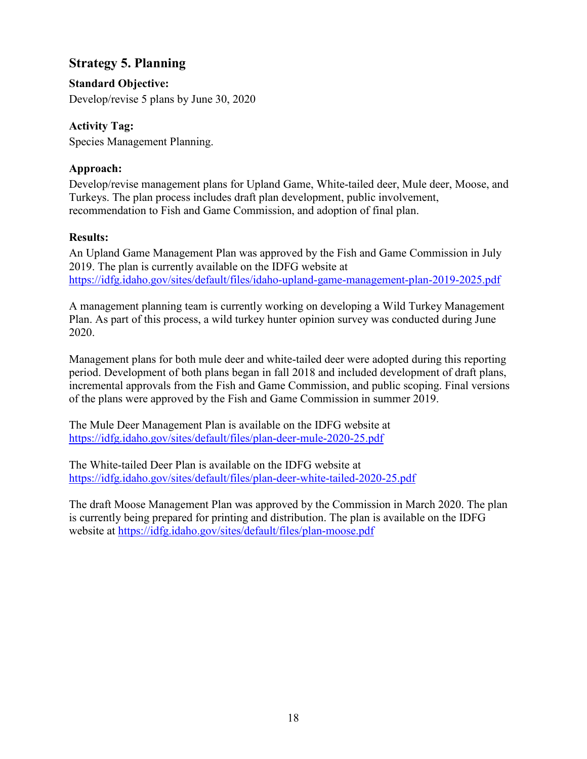# <span id="page-22-0"></span>**Strategy 5. Planning**

<span id="page-22-1"></span>**Standard Objective:** 

Develop/revise 5 plans by June 30, 2020

# <span id="page-22-2"></span>**Activity Tag:**

Species Management Planning.

# <span id="page-22-3"></span>**Approach:**

Develop/revise management plans for Upland Game, White-tailed deer, Mule deer, Moose, and Turkeys. The plan process includes draft plan development, public involvement, recommendation to Fish and Game Commission, and adoption of final plan.

#### <span id="page-22-4"></span>**Results:**

An Upland Game Management Plan was approved by the Fish and Game Commission in July 2019. The plan is currently available on the IDFG website at <https://idfg.idaho.gov/sites/default/files/idaho-upland-game-management-plan-2019-2025.pdf>

A management planning team is currently working on developing a Wild Turkey Management Plan. As part of this process, a wild turkey hunter opinion survey was conducted during June 2020.

Management plans for both mule deer and white-tailed deer were adopted during this reporting period. Development of both plans began in fall 2018 and included development of draft plans, incremental approvals from the Fish and Game Commission, and public scoping. Final versions of the plans were approved by the Fish and Game Commission in summer 2019.

The Mule Deer Management Plan is available on the IDFG website at <https://idfg.idaho.gov/sites/default/files/plan-deer-mule-2020-25.pdf>

The White-tailed Deer Plan is available on the IDFG website at <https://idfg.idaho.gov/sites/default/files/plan-deer-white-tailed-2020-25.pdf>

The draft Moose Management Plan was approved by the Commission in March 2020. The plan is currently being prepared for printing and distribution. The plan is available on the IDFG website at<https://idfg.idaho.gov/sites/default/files/plan-moose.pdf>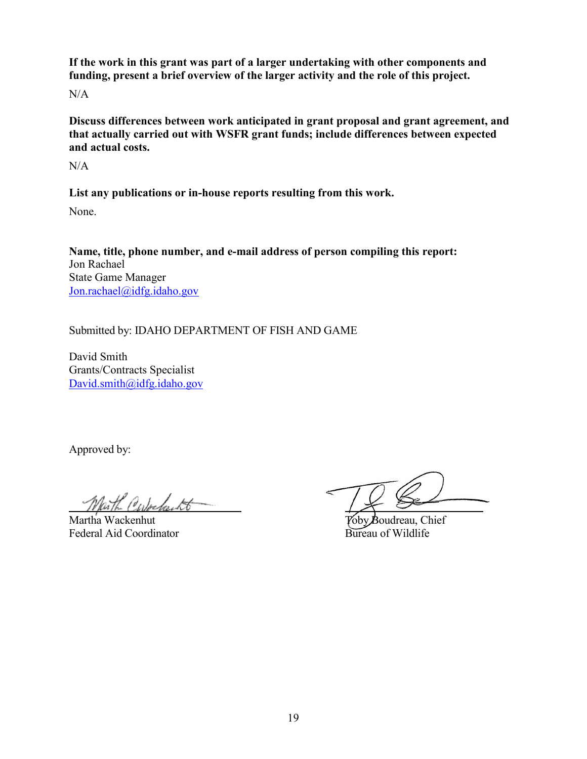**If the work in this grant was part of a larger undertaking with other components and funding, present a brief overview of the larger activity and the role of this project.**

N/A

**Discuss differences between work anticipated in grant proposal and grant agreement, and that actually carried out with WSFR grant funds; include differences between expected and actual costs.**

N/A

**List any publications or in-house reports resulting from this work.**

None.

**Name, title, phone number, and e-mail address of person compiling this report:** Jon Rachael State Game Manager [Jon.rachael@idfg.idaho.gov](mailto:Jon.rachael@idfg.idaho.gov)

Submitted by: IDAHO DEPARTMENT OF FISH AND GAME

David Smith Grants/Contracts Specialist [David.smith@idfg.idaho.gov](mailto:David.smith@idfg.idaho.gov)

Approved by:

Martha Wackenhut<br>
Federal Aid Coordinator<br>
Federal Aid Coordinator<br>
Sureau of Wildlife Federal Aid Coordinator